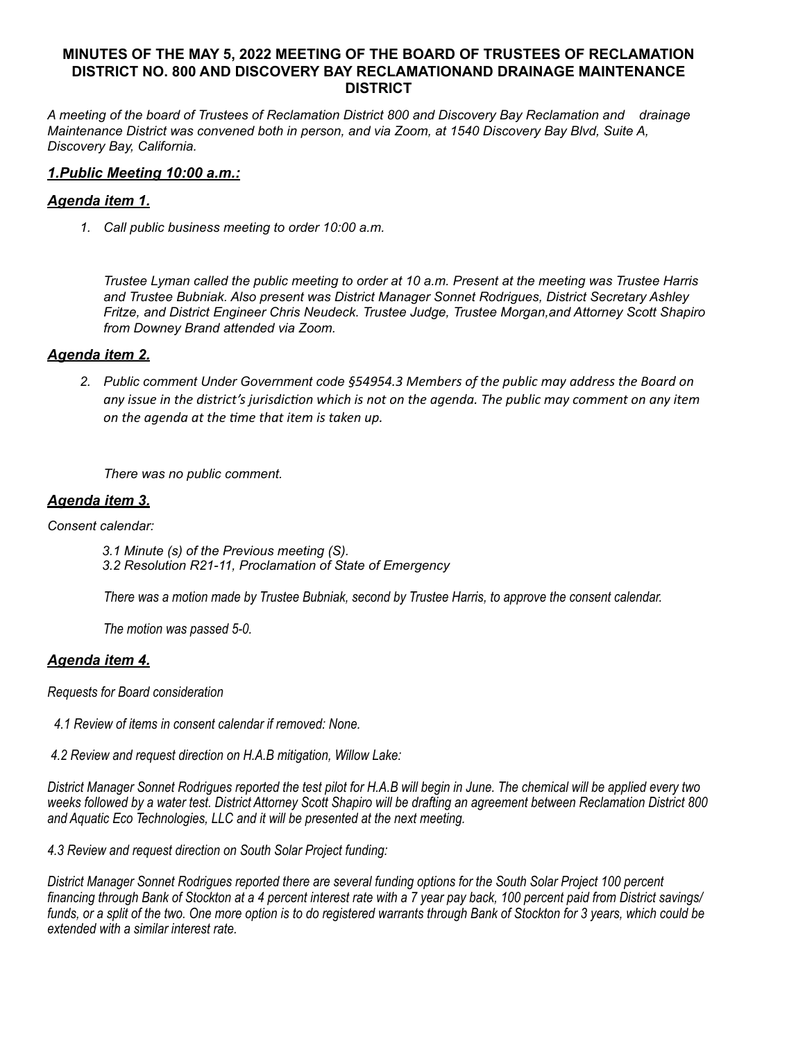# **MINUTES OF THE MAY 5, 2022 MEETING OF THE BOARD OF TRUSTEES OF RECLAMATION DISTRICT NO. 800 AND DISCOVERY BAY RECLAMATIONAND DRAINAGE MAINTENANCE DISTRICT**

*A meeting of the board of Trustees of Reclamation District 800 and Discovery Bay Reclamation and drainage Maintenance District was convened both in person, and via Zoom, at 1540 Discovery Bay Blvd, Suite A, Discovery Bay, California.*

### *1.Public Meeting 10:00 a.m.:*

### *Agenda item 1.*

*1. Call public business meeting to order 10:00 a.m.*

*Trustee Lyman called the public meeting to order at 10 a.m. Present at the meeting was Trustee Harris and Trustee Bubniak. Also present was District Manager Sonnet Rodrigues, District Secretary Ashley Fritze, and District Engineer Chris Neudeck. Trustee Judge, Trustee Morgan,and Attorney Scott Shapiro from Downey Brand attended via Zoom.* 

### *Agenda item 2.*

*2. Public comment Under Government code §54954.3 Members of the public may address the Board on any issue in the district's jurisdiction which is not on the agenda. The public may comment on any item on the agenda at the time that item is taken up.*

*There was no public comment.*

### *Agenda item 3.*

*Consent calendar:*

 *3.1 Minute (s) of the Previous meeting (S). 3.2 Resolution R21-11, Proclamation of State of Emergency*

 *There was a motion made by Trustee Bubniak, second by Trustee Harris, to approve the consent calendar.*

 *The motion was passed 5-0.*

# *Agenda item 4.*

*Requests for Board consideration*

- *4.1 Review of items in consent calendar if removed: None.*
- *4.2 Review and request direction on H.A.B mitigation, Willow Lake:*

*District Manager Sonnet Rodrigues reported the test pilot for H.A.B will begin in June. The chemical will be applied every two weeks followed by a water test. District Attorney Scott Shapiro will be drafting an agreement between Reclamation District 800 and Aquatic Eco Technologies, LLC and it will be presented at the next meeting.*

*4.3 Review and request direction on South Solar Project funding:*

*District Manager Sonnet Rodrigues reported there are several funding options for the South Solar Project 100 percent financing through Bank of Stockton at a 4 percent interest rate with a 7 year pay back, 100 percent paid from District savings/ funds, or a split of the two. One more option is to do registered warrants through Bank of Stockton for 3 years, which could be extended with a similar interest rate.*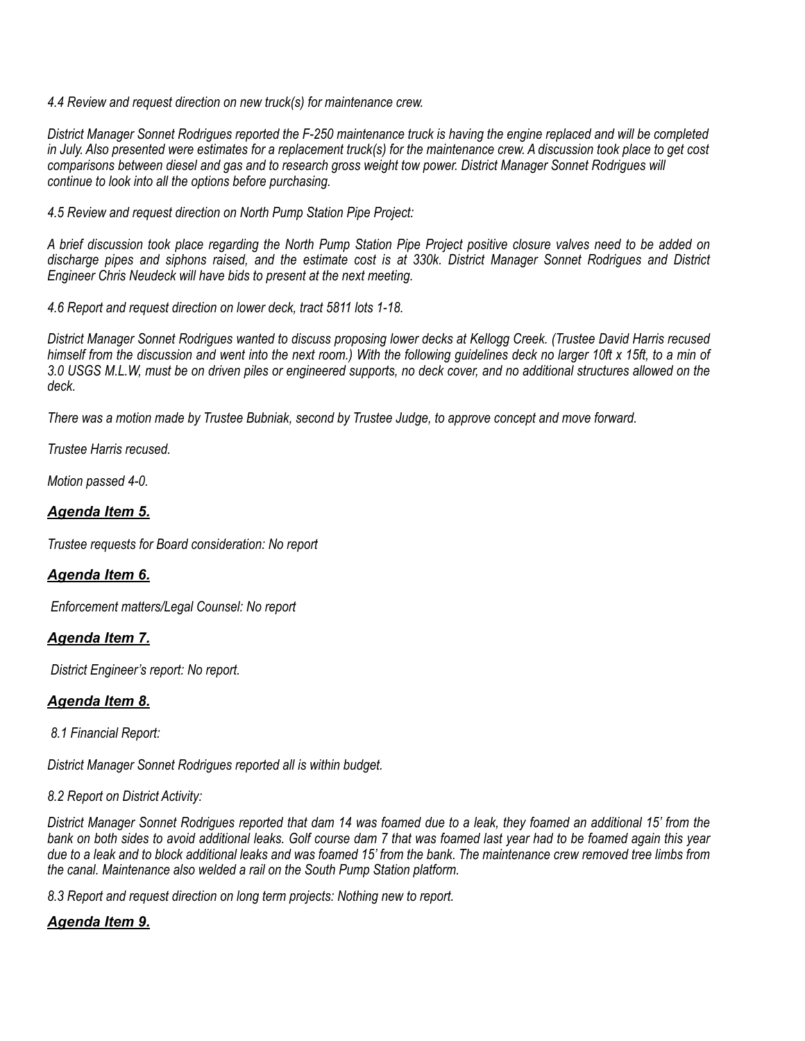*4.4 Review and request direction on new truck(s) for maintenance crew.*

*District Manager Sonnet Rodrigues reported the F-250 maintenance truck is having the engine replaced and will be completed in July. Also presented were estimates for a replacement truck(s) for the maintenance crew. A discussion took place to get cost comparisons between diesel and gas and to research gross weight tow power. District Manager Sonnet Rodrigues will continue to look into all the options before purchasing.*

*4.5 Review and request direction on North Pump Station Pipe Project:*

*A brief discussion took place regarding the North Pump Station Pipe Project positive closure valves need to be added on discharge pipes and siphons raised, and the estimate cost is at 330k. District Manager Sonnet Rodrigues and District Engineer Chris Neudeck will have bids to present at the next meeting.*

*4.6 Report and request direction on lower deck, tract 5811 lots 1-18.*

*District Manager Sonnet Rodrigues wanted to discuss proposing lower decks at Kellogg Creek. (Trustee David Harris recused himself from the discussion and went into the next room.) With the following guidelines deck no larger 10ft x 15ft, to a min of 3.0 USGS M.L.W, must be on driven piles or engineered supports, no deck cover, and no additional structures allowed on the deck.*

*There was a motion made by Trustee Bubniak, second by Trustee Judge, to approve concept and move forward.*

*Trustee Harris recused.*

*Motion passed 4-0.*

### *Agenda Item 5.*

*Trustee requests for Board consideration: No report*

# *Agenda Item 6.*

 *Enforcement matters/Legal Counsel: No report* 

# *Agenda Item 7.*

 *District Engineer's report: No report.*

# *Agenda Item 8.*

 *8.1 Financial Report:*

*District Manager Sonnet Rodrigues reported all is within budget.*

### *8.2 Report on District Activity:*

*District Manager Sonnet Rodrigues reported that dam 14 was foamed due to a leak, they foamed an additional 15' from the bank on both sides to avoid additional leaks. Golf course dam 7 that was foamed last year had to be foamed again this year due to a leak and to block additional leaks and was foamed 15' from the bank. The maintenance crew removed tree limbs from the canal. Maintenance also welded a rail on the South Pump Station platform.*

*8.3 Report and request direction on long term projects: Nothing new to report.*

# *Agenda Item 9.*